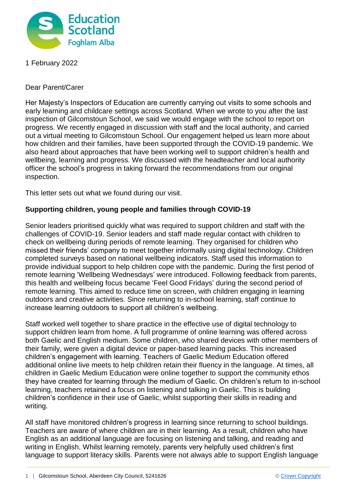

1 February 2022

Dear Parent/Carer

Her Majesty's Inspectors of Education are currently carrying out visits to some schools and early learning and childcare settings across Scotland. When we wrote to you after the last inspection of Gilcomstoun School, we said we would engage with the school to report on progress. We recently engaged in discussion with staff and the local authority, and carried out a virtual meeting to Gilcomstoun School. Our engagement helped us learn more about how children and their families, have been supported through the COVID-19 pandemic. We also heard about approaches that have been working well to support children's health and wellbeing, learning and progress. We discussed with the headteacher and local authority officer the school's progress in taking forward the recommendations from our original inspection.

This letter sets out what we found during our visit.

## **Supporting children, young people and families through COVID-19**

Senior leaders prioritised quickly what was required to support children and staff with the challenges of COVID-19. Senior leaders and staff made regular contact with children to check on wellbeing during periods of remote learning. They organised for children who missed their friends' company to meet together informally using digital technology. Children completed surveys based on national wellbeing indicators. Staff used this information to provide individual support to help children cope with the pandemic. During the first period of remote learning 'Wellbeing Wednesdays' were introduced. Following feedback from parents, this health and wellbeing focus became 'Feel Good Fridays' during the second period of remote learning. This aimed to reduce time on screen, with children engaging in learning outdoors and creative activities. Since returning to in-school learning, staff continue to increase learning outdoors to support all children's wellbeing.

Staff worked well together to share practice in the effective use of digital technology to support children learn from home. A full programme of online learning was offered across both Gaelic and English medium. Some children, who shared devices with other members of their family, were given a digital device or paper-based learning packs. This increased children's engagement with learning. Teachers of Gaelic Medium Education offered additional online live meets to help children retain their fluency in the language. At times, all children in Gaelic Medium Education were online together to support the community ethos they have created for learning through the medium of Gaelic. On children's return to in-school learning, teachers retained a focus on listening and talking in Gaelic. This is building children's confidence in their use of Gaelic, whilst supporting their skills in reading and writing.

All staff have monitored children's progress in learning since returning to school buildings. Teachers are aware of where children are in their learning. As a result, children who have English as an additional language are focusing on listening and talking, and reading and writing in English. Whilst learning remotely, parents very helpfully used children's first language to support literacy skills. Parents were not always able to support English language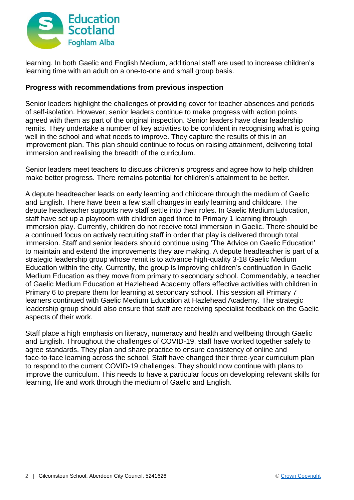

learning. In both Gaelic and English Medium, additional staff are used to increase children's learning time with an adult on a one-to-one and small group basis.

## **Progress with recommendations from previous inspection**

Senior leaders highlight the challenges of providing cover for teacher absences and periods of self-isolation. However, senior leaders continue to make progress with action points agreed with them as part of the original inspection. Senior leaders have clear leadership remits. They undertake a number of key activities to be confident in recognising what is going well in the school and what needs to improve. They capture the results of this in an improvement plan. This plan should continue to focus on raising attainment, delivering total immersion and realising the breadth of the curriculum.

Senior leaders meet teachers to discuss children's progress and agree how to help children make better progress. There remains potential for children's attainment to be better.

A depute headteacher leads on early learning and childcare through the medium of Gaelic and English. There have been a few staff changes in early learning and childcare. The depute headteacher supports new staff settle into their roles. In Gaelic Medium Education, staff have set up a playroom with children aged three to Primary 1 learning through immersion play. Currently, children do not receive total immersion in Gaelic. There should be a continued focus on actively recruiting staff in order that play is delivered through total immersion. Staff and senior leaders should continue using 'The Advice on Gaelic Education' to maintain and extend the improvements they are making. A depute headteacher is part of a strategic leadership group whose remit is to advance high-quality 3-18 Gaelic Medium Education within the city. Currently, the group is improving children's continuation in Gaelic Medium Education as they move from primary to secondary school. Commendably, a teacher of Gaelic Medium Education at Hazlehead Academy offers effective activities with children in Primary 6 to prepare them for learning at secondary school. This session all Primary 7 learners continued with Gaelic Medium Education at Hazlehead Academy. The strategic leadership group should also ensure that staff are receiving specialist feedback on the Gaelic aspects of their work.

Staff place a high emphasis on literacy, numeracy and health and wellbeing through Gaelic and English. Throughout the challenges of COVID-19, staff have worked together safely to agree standards. They plan and share practice to ensure consistency of online and face-to-face learning across the school. Staff have changed their three-year curriculum plan to respond to the current COVID-19 challenges. They should now continue with plans to improve the curriculum. This needs to have a particular focus on developing relevant skills for learning, life and work through the medium of Gaelic and English.